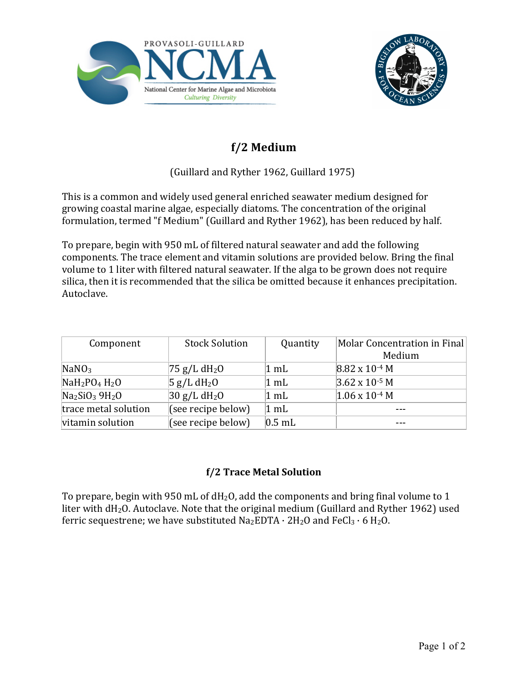



## **f/2 Medium**

## (Guillard and Ryther 1962, Guillard 1975)

This is a common and widely used general enriched seawater medium designed for growing coastal marine algae, especially diatoms. The concentration of the original formulation, termed "f Medium" (Guillard and Ryther 1962), has been reduced by half.

To prepare, begin with 950 mL of filtered natural seawater and add the following components. The trace element and vitamin solutions are provided below. Bring the final volume to 1 liter with filtered natural seawater. If the alga to be grown does not require silica, then it is recommended that the silica be omitted because it enhances precipitation. Autoclave.

| Component            | <b>Stock Solution</b>      | Quantity       | Molar Concentration in Final |
|----------------------|----------------------------|----------------|------------------------------|
|                      |                            |                | Medium                       |
| NaNO <sub>3</sub>    | $75$ g/L dH <sub>2</sub> O | $1 \text{ mL}$ | $8.82 \times 10^{-4}$ M      |
| $NaH2PO4H2O$         | 5 g/L dH <sub>2</sub> O    | $1 \text{ mL}$ | $3.62 \times 10^{-5}$ M      |
| $Na2SiO3 9H2O$       | 30 g/L dH <sub>2</sub> 0   | $1 \text{ mL}$ | $1.06 \times 10^{-4}$ M      |
| trace metal solution | (see recipe below)         | $1 \text{ mL}$ |                              |
| vitamin solution     | (see recipe below)         | $0.5$ mL       |                              |

## **f/2 Trace Metal Solution**

To prepare, begin with 950 mL of  $dH_2O$ , add the components and bring final volume to 1 liter with  $dH_2O$ . Autoclave. Note that the original medium (Guillard and Ryther 1962) used ferric sequestrene; we have substituted  $Na<sub>2</sub>EDTA \cdot 2H<sub>2</sub>O$  and  $FeCl<sub>3</sub> \cdot 6H<sub>2</sub>O$ .